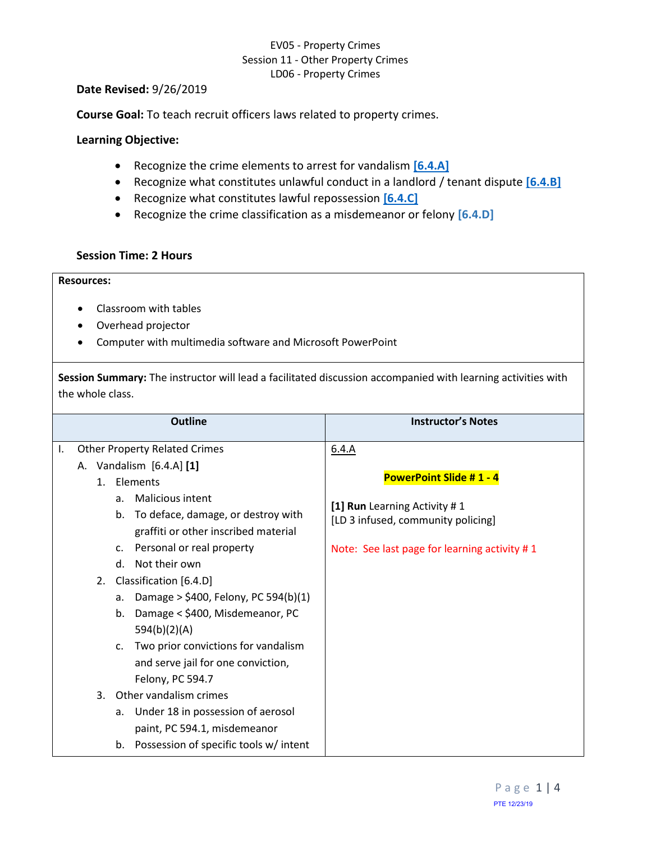## EV05 - Property Crimes Session 11 - Other Property Crimes LD06 - Property Crimes

#### **Date Revised:** 9/26/2019

**Course Goal:** To teach recruit officers laws related to property crimes.

### **Learning Objective:**

- Recognize the crime elements to arrest for vandalism **[\[6.4.A\]](#page-0-0)**
- Recognize what constitutes unlawful conduct in a landlord / tenant dispute **[\[6.4.B\]](#page-1-0)**
- Recognize what constitutes lawful repossession **[\[6.4.C\]](#page-1-1)**
- Recognize the crime classification as a misdemeanor or felony **[6.4.D]**

### **Session Time: 2 Hours**

## **Resources:**

- Classroom with tables
- Overhead projector
- Computer with multimedia software and Microsoft PowerPoint

**Session Summary:** The instructor will lead a facilitated discussion accompanied with learning activities with the whole class.

<span id="page-0-0"></span>

| <b>Outline</b> |    |                                      |                                                                                                                                                                                                                         | <b>Instructor's Notes</b>                                                                            |
|----------------|----|--------------------------------------|-------------------------------------------------------------------------------------------------------------------------------------------------------------------------------------------------------------------------|------------------------------------------------------------------------------------------------------|
| Τ.             |    |                                      | <b>Other Property Related Crimes</b>                                                                                                                                                                                    | 6.4.A                                                                                                |
|                | А. | $1_{\ldots}$<br>a <sub>z</sub><br>b. | Vandalism $[6.4.A]$ [1]<br>Elements<br><b>Malicious intent</b><br>To deface, damage, or destroy with<br>graffiti or other inscribed material                                                                            | <b>PowerPoint Slide #1 - 4</b><br>[1] Run Learning Activity #1<br>[LD 3 infused, community policing] |
|                |    | $\mathsf{C}$ .<br>d.                 | Personal or real property<br>Not their own                                                                                                                                                                              | Note: See last page for learning activity #1                                                         |
|                |    | 2.<br>a.<br>b.                       | Classification [6.4.D]<br>Damage > $$400$ , Felony, PC 594(b)(1)<br>Damage < \$400, Misdemeanor, PC<br>594(b)(2)(A)<br>c. Two prior convictions for vandalism<br>and serve jail for one conviction,<br>Felony, PC 594.7 |                                                                                                      |
|                |    | 3.<br>a.<br>b.                       | Other vandalism crimes<br>Under 18 in possession of aerosol<br>paint, PC 594.1, misdemeanor<br>Possession of specific tools w/ intent                                                                                   |                                                                                                      |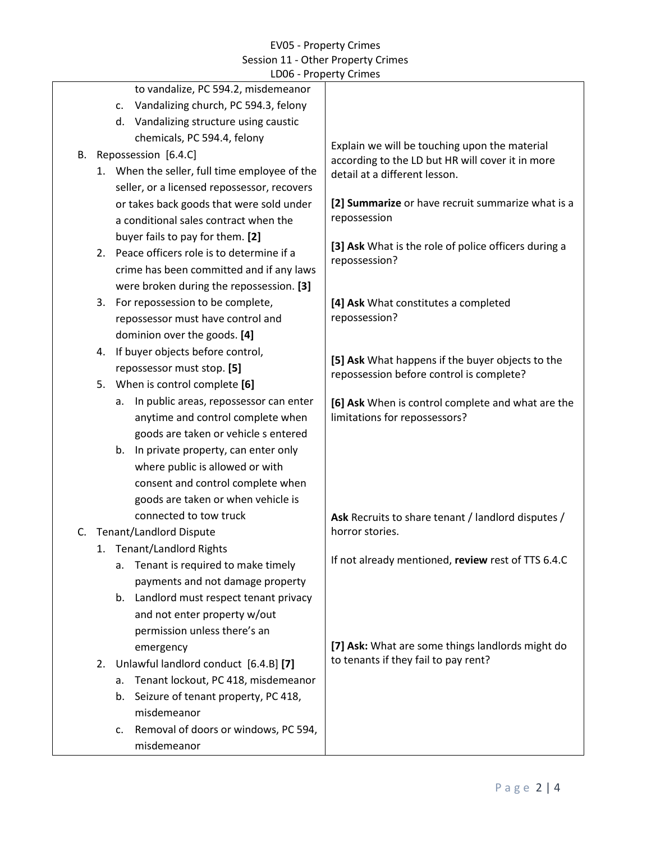### EV05 - Property Crimes Session 11 - Other Property Crimes LD06 - Property Crimes

<span id="page-1-1"></span><span id="page-1-0"></span>

|    |    | to vandalize, PC 594.2, misdemeanor           |                                                                                                   |
|----|----|-----------------------------------------------|---------------------------------------------------------------------------------------------------|
|    |    | Vandalizing church, PC 594.3, felony<br>C.    |                                                                                                   |
|    |    | d. Vandalizing structure using caustic        |                                                                                                   |
|    |    | chemicals, PC 594.4, felony                   |                                                                                                   |
| В. |    | Repossession [6.4.C]                          | Explain we will be touching upon the material<br>according to the LD but HR will cover it in more |
|    |    | 1. When the seller, full time employee of the | detail at a different lesson.                                                                     |
|    |    | seller, or a licensed repossessor, recovers   |                                                                                                   |
|    |    | or takes back goods that were sold under      | [2] Summarize or have recruit summarize what is a                                                 |
|    |    | a conditional sales contract when the         | repossession                                                                                      |
|    |    | buyer fails to pay for them. [2]              |                                                                                                   |
|    | 2. | Peace officers role is to determine if a      | [3] Ask What is the role of police officers during a                                              |
|    |    | crime has been committed and if any laws      | repossession?                                                                                     |
|    |    | were broken during the repossession. [3]      |                                                                                                   |
|    | 3. | For repossession to be complete,              | [4] Ask What constitutes a completed<br>repossession?                                             |
|    |    | repossessor must have control and             |                                                                                                   |
|    |    | dominion over the goods. [4]                  |                                                                                                   |
|    | 4. | If buyer objects before control,              | [5] Ask What happens if the buyer objects to the<br>repossession before control is complete?      |
|    |    | repossessor must stop. [5]                    |                                                                                                   |
|    | 5. | When is control complete [6]                  |                                                                                                   |
|    |    | In public areas, repossessor can enter<br>а.  | [6] Ask When is control complete and what are the                                                 |
|    |    | anytime and control complete when             | limitations for repossessors?                                                                     |
|    |    | goods are taken or vehicle s entered          |                                                                                                   |
|    |    | In private property, can enter only<br>b.     |                                                                                                   |
|    |    | where public is allowed or with               |                                                                                                   |
|    |    | consent and control complete when             |                                                                                                   |
|    |    | goods are taken or when vehicle is            |                                                                                                   |
|    |    | connected to tow truck                        | Ask Recruits to share tenant / landlord disputes /                                                |
| C. |    | <b>Tenant/Landlord Dispute</b>                | horror stories.                                                                                   |
|    |    | 1. Tenant/Landlord Rights                     |                                                                                                   |
|    |    | Tenant is required to make timely<br>a.       | If not already mentioned, review rest of TTS 6.4.C                                                |
|    |    | payments and not damage property              |                                                                                                   |
|    |    | Landlord must respect tenant privacy<br>b.    |                                                                                                   |
|    |    | and not enter property w/out                  |                                                                                                   |
|    |    | permission unless there's an                  |                                                                                                   |
|    |    | emergency                                     | [7] Ask: What are some things landlords might do                                                  |
|    | 2. | Unlawful landlord conduct [6.4.B] [7]         | to tenants if they fail to pay rent?                                                              |
|    |    | Tenant lockout, PC 418, misdemeanor<br>a.     |                                                                                                   |
|    |    | Seizure of tenant property, PC 418,<br>b.     |                                                                                                   |
|    |    | misdemeanor                                   |                                                                                                   |
|    |    | Removal of doors or windows, PC 594,<br>c.    |                                                                                                   |
|    |    | misdemeanor                                   |                                                                                                   |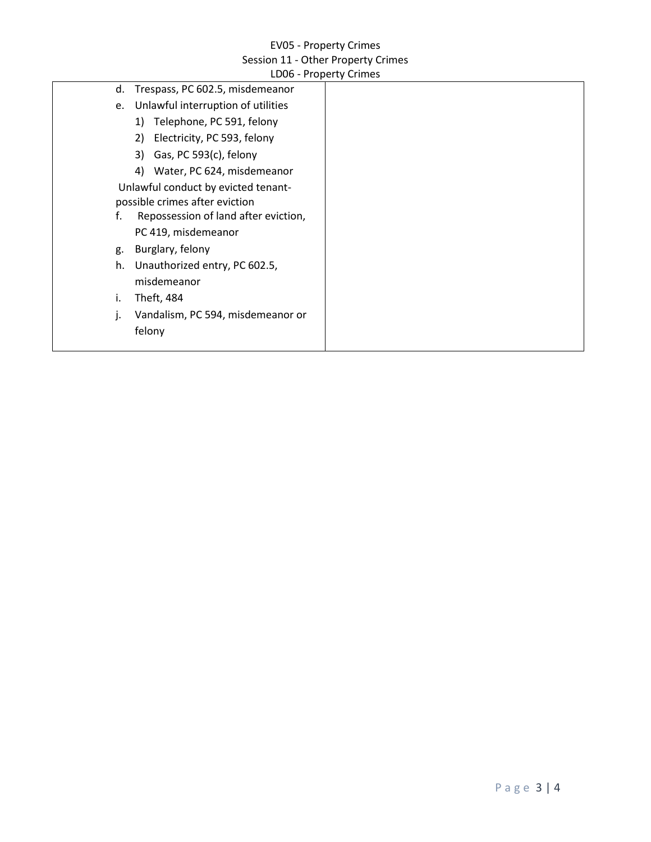# EV05 - Property Crimes Session 11 - Other Property Crimes

|                      | LD06 - Property Crimes                                                                                                                                                                                                 |
|----------------------|------------------------------------------------------------------------------------------------------------------------------------------------------------------------------------------------------------------------|
| d.                   | Trespass, PC 602.5, misdemeanor                                                                                                                                                                                        |
| e.                   | Unlawful interruption of utilities                                                                                                                                                                                     |
|                      | Telephone, PC 591, felony<br>1)                                                                                                                                                                                        |
|                      | Electricity, PC 593, felony<br>2)                                                                                                                                                                                      |
|                      | Gas, PC 593(c), felony<br>3)                                                                                                                                                                                           |
|                      | 4) Water, PC 624, misdemeanor                                                                                                                                                                                          |
| f.<br>g.<br>h.<br>i. | Unlawful conduct by evicted tenant-<br>possible crimes after eviction<br>Repossession of land after eviction,<br>PC 419, misdemeanor<br>Burglary, felony<br>Unauthorized entry, PC 602.5,<br>misdemeanor<br>Theft, 484 |
| j.                   | Vandalism, PC 594, misdemeanor or<br>felony                                                                                                                                                                            |